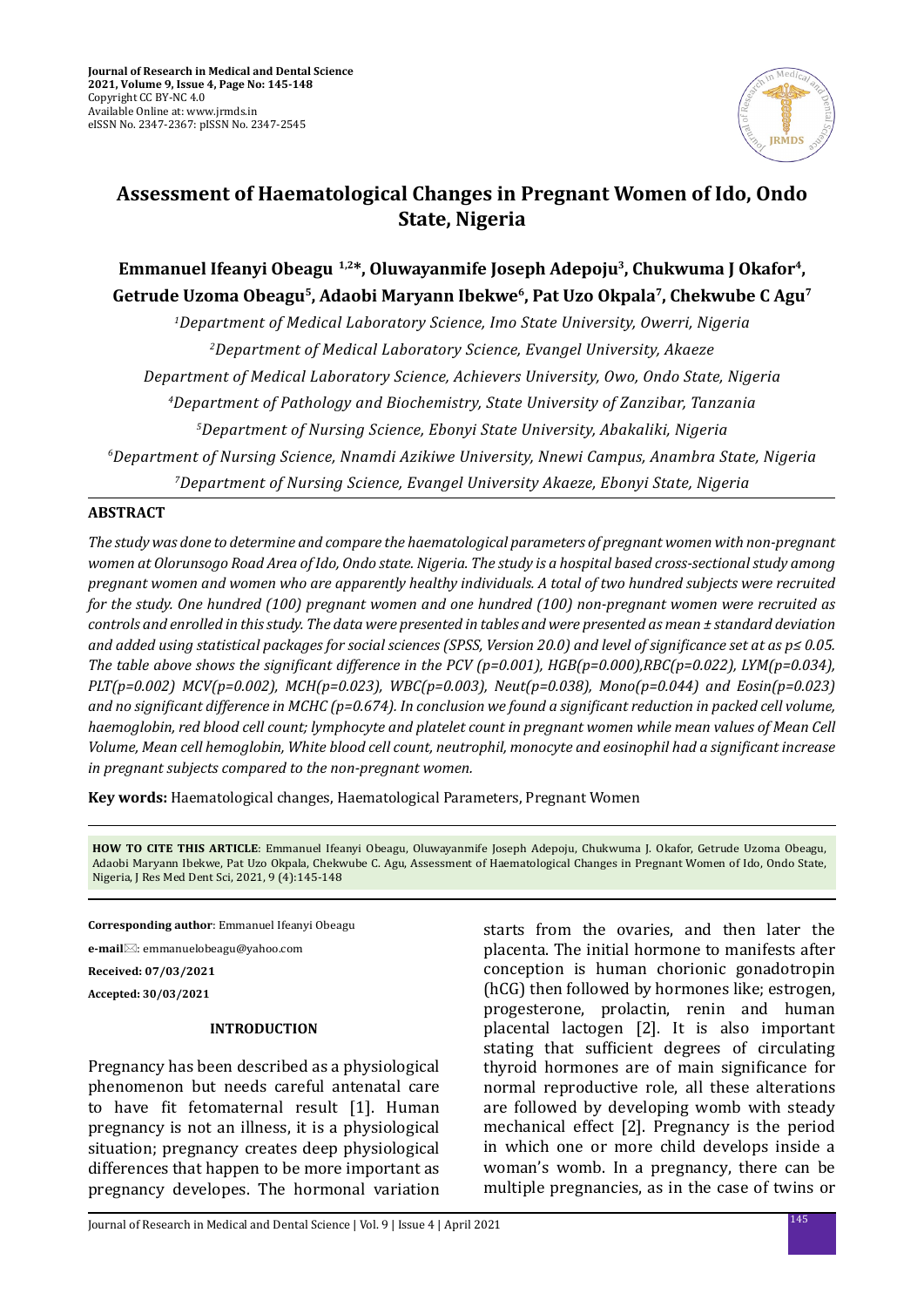

# **Assessment of Haematological Changes in Pregnant Women of Ido, Ondo State, Nigeria**

## **Emmanuel Ifeanyi Obeagu 1,2\*, Oluwayanmife Joseph Adepoju3 , Chukwuma J Okafor4 , Getrude Uzoma Obeagu5, Adaobi Maryann Ibekwe6, Pat Uzo Okpala7, Chekwube C Agu7**

*1Department of Medical Laboratory Science, Imo State University, Owerri, Nigeria Department of Medical Laboratory Science, Evangel University, Akaeze Department of Medical Laboratory Science, Achievers University, Owo, Ondo State, Nigeria Department of Pathology and Biochemistry, State University of Zanzibar, Tanzania Department of Nursing Science, Ebonyi State University, Abakaliki, Nigeria Department of Nursing Science, Nnamdi Azikiwe University, Nnewi Campus, Anambra State, Nigeria Department of Nursing Science, Evangel University Akaeze, Ebonyi State, Nigeria*

## **ABSTRACT**

*The study was done to determine and compare the haematological parameters of pregnant women with non-pregnant women at Olorunsogo Road Area of Ido, Ondo state. Nigeria. The study is a hospital based cross-sectional study among pregnant women and women who are apparently healthy individuals. A total of two hundred subjects were recruited for the study. One hundred (100) pregnant women and one hundred (100) non-pregnant women were recruited as controls and enrolled in this study. The data were presented in tables and were presented as mean ± standard deviation and added using statistical packages for social sciences (SPSS, Version 20.0) and level of significance set at as p≤ 0.05. The table above shows the significant difference in the PCV (p=0.001), HGB(p=0.000),RBC(p=0.022), LYM(p=0.034), PLT(p=0.002) MCV(p=0.002), MCH(p=0.023), WBC(p=0.003), Neut(p=0.038), Mono(p=0.044) and Eosin(p=0.023) and no significant difference in MCHC (p=0.674). In conclusion we found a significant reduction in packed cell volume, haemoglobin, red blood cell count; lymphocyte and platelet count in pregnant women while mean values of Mean Cell Volume, Mean cell hemoglobin, White blood cell count, neutrophil, monocyte and eosinophil had a significant increase in pregnant subjects compared to the non-pregnant women.*

**Key words:** Haematological changes, Haematological Parameters, Pregnant Women

**HOW TO CITE THIS ARTICLE**: Emmanuel Ifeanyi Obeagu, Oluwayanmife Joseph Adepoju, Chukwuma J. Okafor, Getrude Uzoma Obeagu, Adaobi Maryann Ibekwe, Pat Uzo Okpala, Chekwube C. Agu, Assessment of Haematological Changes in Pregnant Women of Ido, Ondo State, Nigeria, J Res Med Dent Sci, 2021, 9 (4):145-148

**Corresponding author**: Emmanuel Ifeanyi Obeagu

**e-mail**⊠: emmanuelobeagu@yahoo.com

**Received: 07/03/2021**

**Accepted: 30/03/2021**

## **INTRODUCTION**

Pregnancy has been described as a physiological phenomenon but needs careful antenatal care to have fit fetomaternal result [1]. Human pregnancy is not an illness, it is a physiological situation; pregnancy creates deep physiological differences that happen to be more important as pregnancy developes. The hormonal variation starts from the ovaries, and then later the placenta. The initial hormone to manifests after conception is human chorionic gonadotropin (hCG) then followed by hormones like; estrogen, progesterone, prolactin, renin and human placental lactogen [2]. It is also important stating that sufficient degrees of circulating thyroid hormones are of main significance for normal reproductive role, all these alterations are followed by developing womb with steady mechanical effect [2]. Pregnancy is the period in which one or more child develops inside a woman's womb. In a pregnancy, there can be multiple pregnancies, as in the case of twins or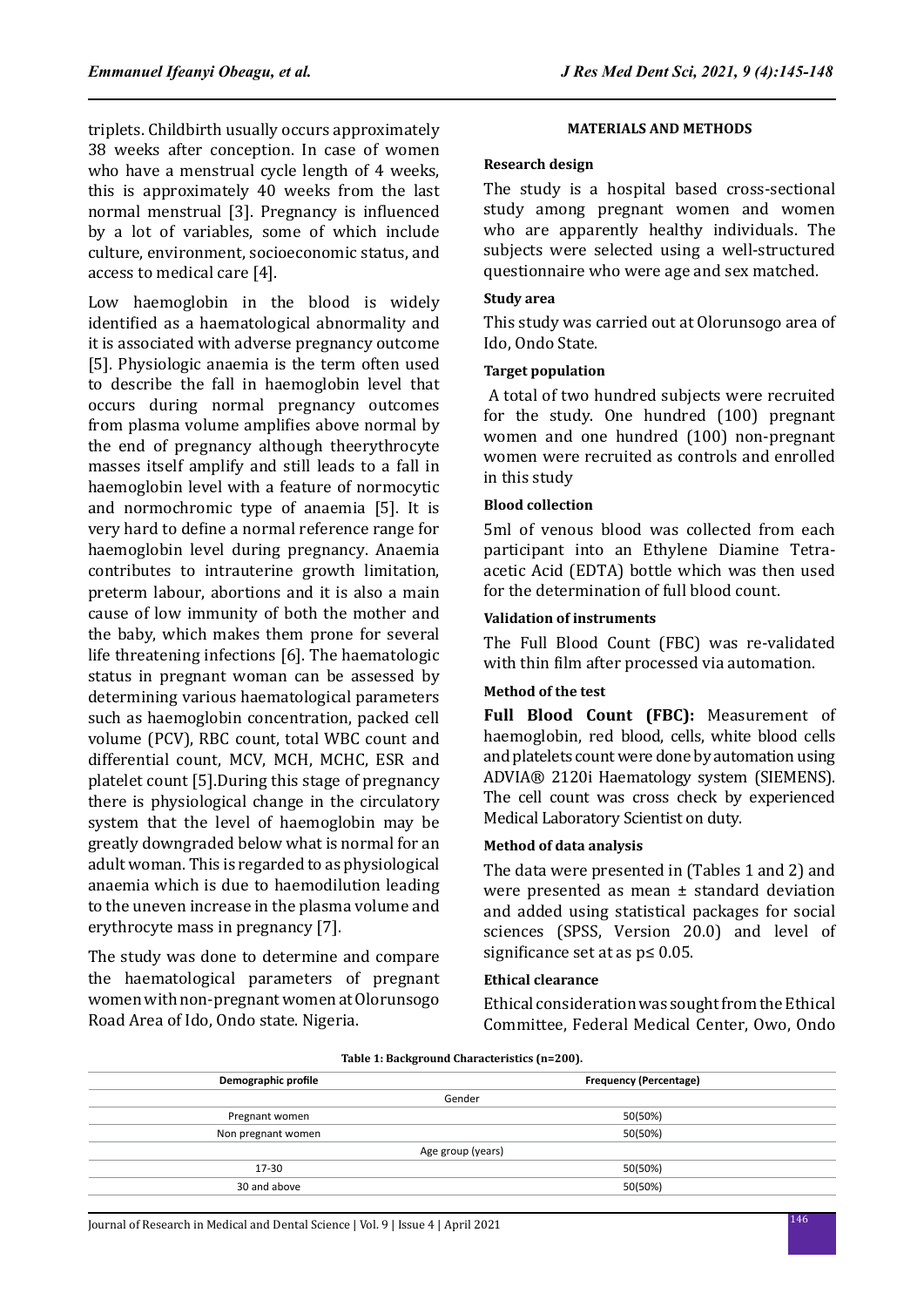triplets. Childbirth usually occurs approximately 38 weeks after conception. In case of women who have a menstrual cycle length of 4 weeks, this is approximately 40 weeks from the last normal menstrual [3]. Pregnancy is influenced by a lot of variables, some of which include culture, environment, socioeconomic status, and access to medical care [4].

Low haemoglobin in the blood is widely identified as a haematological abnormality and it is associated with adverse pregnancy outcome [5]. Physiologic anaemia is the term often used to describe the fall in haemoglobin level that occurs during normal pregnancy outcomes from plasma volume amplifies above normal by the end of pregnancy although theerythrocyte masses itself amplify and still leads to a fall in haemoglobin level with a feature of normocytic and normochromic type of anaemia [5]. It is very hard to define a normal reference range for haemoglobin level during pregnancy. Anaemia contributes to intrauterine growth limitation, preterm labour, abortions and it is also a main cause of low immunity of both the mother and the baby, which makes them prone for several life threatening infections [6]. The haematologic status in pregnant woman can be assessed by determining various haematological parameters such as haemoglobin concentration, packed cell volume (PCV), RBC count, total WBC count and differential count, MCV, MCH, MCHC, ESR and platelet count [5].During this stage of pregnancy there is physiological change in the circulatory system that the level of haemoglobin may be greatly downgraded below what is normal for an adult woman. This is regarded to as physiological anaemia which is due to haemodilution leading to the uneven increase in the plasma volume and erythrocyte mass in pregnancy [7].

The study was done to determine and compare the haematological parameters of pregnant women with non-pregnant women at Olorunsogo Road Area of Ido, Ondo state. Nigeria.

#### **MATERIALS AND METHODS**

#### **Research design**

The study is a hospital based cross-sectional study among pregnant women and women who are apparently healthy individuals. The subjects were selected using a well-structured questionnaire who were age and sex matched.

#### **Study area**

This study was carried out at Olorunsogo area of Ido, Ondo State.

#### **Target population**

 A total of two hundred subjects were recruited for the study. One hundred (100) pregnant women and one hundred (100) non-pregnant women were recruited as controls and enrolled in this study

#### **Blood collection**

5ml of venous blood was collected from each participant into an Ethylene Diamine Tetraacetic Acid (EDTA) bottle which was then used for the determination of full blood count.

#### **Validation of instruments**

The Full Blood Count (FBC) was re-validated with thin film after processed via automation.

### **Method of the test**

**Full Blood Count (FBC):** Measurement of haemoglobin, red blood, cells, white blood cells and platelets count were done by automation using ADVIA® 2120i Haematology system (SIEMENS). The cell count was cross check by experienced Medical Laboratory Scientist on duty.

## **Method of data analysis**

The data were presented in (Tables 1 and 2) and were presented as mean ± standard deviation and added using statistical packages for social sciences (SPSS, Version 20.0) and level of significance set at as p≤ 0.05.

#### **Ethical clearance**

Ethical consideration was sought from the Ethical Committee, Federal Medical Center, Owo, Ondo

**Table 1: Background Characteristics (n=200).**

| Demographic profile | <b>Frequency (Percentage)</b> |  |  |  |
|---------------------|-------------------------------|--|--|--|
| Gender              |                               |  |  |  |
| Pregnant women      | 50(50%)                       |  |  |  |
| Non pregnant women  | 50(50%)                       |  |  |  |
| Age group (years)   |                               |  |  |  |
| 17-30               | 50(50%)                       |  |  |  |
| 30 and above        | 50(50%)                       |  |  |  |
|                     |                               |  |  |  |

<sup>146</sup> Journal of Research in Medical and Dental Science | Vol. 9 | Issue 4 | April 2021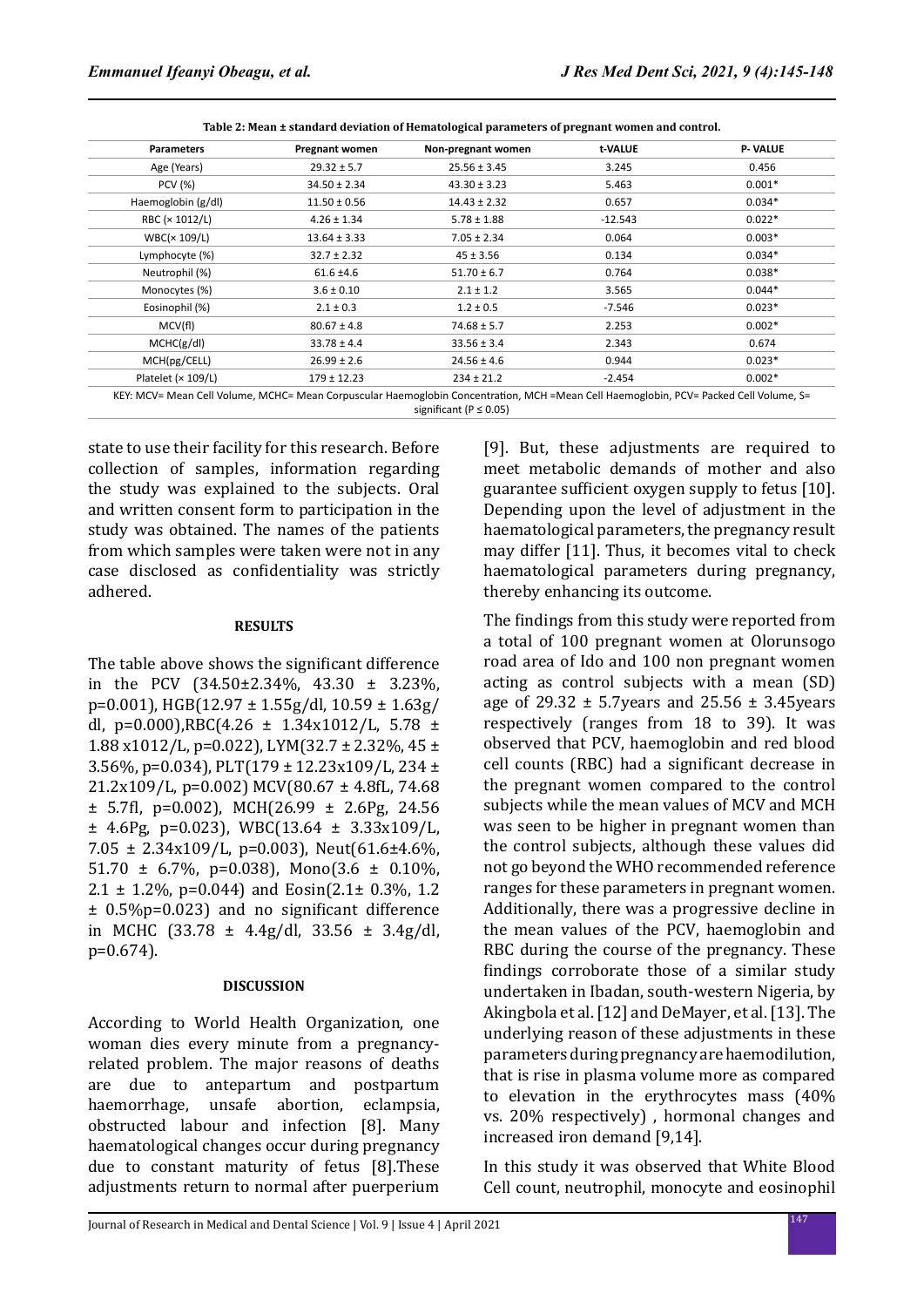| <b>Parameters</b>  | Pregnant women   | Non-pregnant women | t-VALUE   | <b>P-VALUE</b> |
|--------------------|------------------|--------------------|-----------|----------------|
| Age (Years)        | $29.32 \pm 5.7$  | $25.56 \pm 3.45$   | 3.245     | 0.456          |
| <b>PCV</b> (%)     | $34.50 \pm 2.34$ | $43.30 \pm 3.23$   | 5.463     | $0.001*$       |
| Haemoglobin (g/dl) | $11.50 \pm 0.56$ | $14.43 \pm 2.32$   | 0.657     | $0.034*$       |
| RBC (× 1012/L)     | $4.26 \pm 1.34$  | $5.78 \pm 1.88$    | $-12.543$ | $0.022*$       |
| WBC(x 109/L)       | $13.64 \pm 3.33$ | $7.05 \pm 2.34$    | 0.064     | $0.003*$       |
| Lymphocyte (%)     | $32.7 \pm 2.32$  | $45 \pm 3.56$      | 0.134     | $0.034*$       |
| Neutrophil (%)     | $61.6 \pm 4.6$   | $51.70 \pm 6.7$    | 0.764     | $0.038*$       |
| Monocytes (%)      | $3.6 \pm 0.10$   | $2.1 \pm 1.2$      | 3.565     | $0.044*$       |
| Eosinophil (%)     | $2.1 \pm 0.3$    | $1.2 \pm 0.5$      | -7.546    | $0.023*$       |
| MCV(fl)            | $80.67 \pm 4.8$  | $74.68 \pm 5.7$    | 2.253     | $0.002*$       |
| MCHC(g/dI)         | $33.78 \pm 4.4$  | $33.56 \pm 3.4$    | 2.343     | 0.674          |
| MCH(pg/CELL)       | $26.99 \pm 2.6$  | $24.56 \pm 4.6$    | 0.944     | $0.023*$       |
| Platelet (× 109/L) | $179 \pm 12.23$  | $234 \pm 21.2$     | $-2.454$  | $0.002*$       |

KEY: MCV= Mean Cell Volume, MCHC= Mean Corpuscular Haemoglobin Concentration, MCH =Mean Cell Haemoglobin, PCV= Packed Cell Volume, S= significant (P ≤ 0.05)

state to use their facility for this research. Before collection of samples, information regarding the study was explained to the subjects. Oral and written consent form to participation in the study was obtained. The names of the patients from which samples were taken were not in any case disclosed as confidentiality was strictly adhered.

#### **RESULTS**

The table above shows the significant difference in the PCV (34.50±2.34%, 43.30 ± 3.23%, p=0.001), HGB(12.97 ± 1.55g/dl, 10.59 ± 1.63g/ dl, p=0.000),RBC(4.26  $\pm$  1.34x1012/L, 5.78  $\pm$ 1.88 x1012/L, p=0.022), LYM(32.7 ± 2.32%, 45 ± 3.56%, p=0.034), PLT(179 ± 12.23x109/L, 234 ± 21.2x109/L, p=0.002) MCV(80.67 ± 4.8fL, 74.68  $\pm$  5.7fl, p=0.002), MCH(26.99  $\pm$  2.6Pg, 24.56  $\pm$  4.6Pg, p=0.023), WBC(13.64  $\pm$  3.33x109/L, 7.05  $\pm$  2.34x109/L, p=0.003), Neut(61.6 $\pm$ 4.6%) 51.70  $\pm$  6.7%, p=0.038), Mono(3.6  $\pm$  0.10%, 2.1  $\pm$  1.2%, p=0.044) and Eosin(2.1 $\pm$  0.3%, 1.2 ± 0.5%p=0.023) and no significant difference in MCHC  $(33.78 \pm 4.4g/dl, 33.56 \pm 3.4g/dl,$ p=0.674).

#### **DISCUSSION**

According to World Health Organization, one woman dies every minute from a pregnancyrelated problem. The major reasons of deaths are due to antepartum and postpartum haemorrhage, unsafe abortion, eclampsia, obstructed labour and infection [8]. Many haematological changes occur during pregnancy due to constant maturity of fetus [8].These adjustments return to normal after puerperium [9]. But, these adjustments are required to meet metabolic demands of mother and also guarantee sufficient oxygen supply to fetus [10]. Depending upon the level of adjustment in the haematological parameters, the pregnancy result may differ [11]. Thus, it becomes vital to check haematological parameters during pregnancy, thereby enhancing its outcome.

The findings from this study were reported from a total of 100 pregnant women at Olorunsogo road area of Ido and 100 non pregnant women acting as control subjects with a mean (SD) age of 29.32  $\pm$  5.7 years and 25.56  $\pm$  3.45 years respectively (ranges from 18 to 39). It was observed that PCV, haemoglobin and red blood cell counts (RBC) had a significant decrease in the pregnant women compared to the control subjects while the mean values of MCV and MCH was seen to be higher in pregnant women than the control subjects, although these values did not go beyond the WHO recommended reference ranges for these parameters in pregnant women. Additionally, there was a progressive decline in the mean values of the PCV, haemoglobin and RBC during the course of the pregnancy. These findings corroborate those of a similar study undertaken in Ibadan, south-western Nigeria, by Akingbola et al. [12] and DeMayer, et al. [13]. The underlying reason of these adjustments in these parameters during pregnancy are haemodilution, that is rise in plasma volume more as compared to elevation in the erythrocytes mass (40% vs. 20% respectively) , hormonal changes and increased iron demand [9,14].

In this study it was observed that White Blood Cell count, neutrophil, monocyte and eosinophil